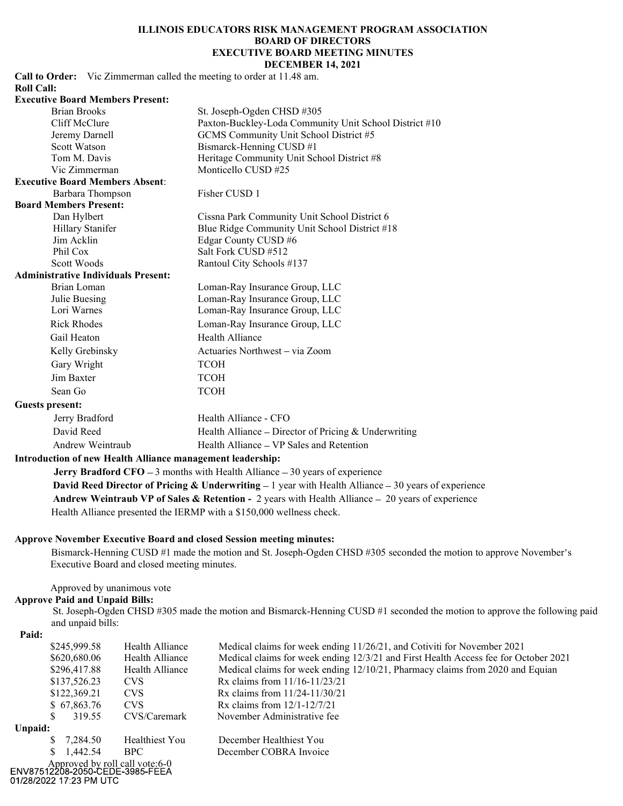# ILLINOIS EDUCATORS RISK MANAGEMENT PROGRAM ASSOCIATION BOARD OF DIRECTORS CATORS RISK MANAGEMENT PROGRAM ASSOCIATION<br>
BOARD OF DIRECTORS<br>
EXECUTIVE BOARD MEETING MINUTES<br>
DECEMBER 14, 2021<br>
eting to order at 11.48 am.<br>
Joseph-Ogden CHSD #305

DECEMBER 14, 2021 Call to Order: Vic Zimmerman called the meeting to order at 11.48 am. Roll Call: Executive Board Members Present: Brian Brooks St. Joseph-Ogden CHSD #305 Cliff McClure Paxton-Buckley-Loda Community Unit School District #10 Jeremy Darnell GCMS Community Unit School District #5 Scott Watson Bismarck-Henning CUSD #1 Tom M. Davis Heritage Community Unit School District #8 Vic Zimmerman Monticello CUSD #25 Executive Board Members Absent: Barbara Thompson Fisher CUSD 1 Board Members Present: Dan Hylbert Cissna Park Community Unit School District 6 Hillary Stanifer Blue Ridge Community Unit School District #18 Jim Acklin Edgar County CUSD #6 Phil Cox Salt Fork CUSD #512

### Administrative Individuals Present:

Scott Woods Rantoul City Schools #137 Brian Loman Loman-Ray Insurance Group, LLC Julie Buesing Loman-Ray Insurance Group, LLC Lori Warnes Loman-Ray Insurance Group, LLC Rick Rhodes Loman-Ray Insurance Group, LLC Gail Heaton Health Alliance Kelly Grebinsky Actuaries Northwest – via Zoom Gary Wright TCOH Jim Baxter TCOH Sean Go TCOH

### Guests present:

| Jerry Bradford   | Health Alliance - CFO                                |  |
|------------------|------------------------------------------------------|--|
| David Reed       | Health Alliance – Director of Pricing & Underwriting |  |
| Andrew Weintraub | Health Alliance – VP Sales and Retention             |  |

### Introduction of new Health Alliance management leadership:

**Jerry Bradford CFO**  $-3$  months with Health Alliance  $-30$  years of experience David Reed Director of Pricing & Underwriting  $-1$  year with Health Alliance  $-30$  years of experience Andrew Weintraub VP of Sales & Retention - 2 years with Health Alliance  $-20$  years of experience Health Alliance presented the IERMP with a \$150,000 wellness check.

### Approve November Executive Board and closed Session meeting minutes:

Bismarck-Henning CUSD #1 made the motion and St. Joseph-Ogden CHSD #305 seconded the motion to approve November's Executive Board and closed meeting minutes.

## Approved by unanimous vote

# Approve Paid and Unpaid Bills:

St. Joseph-Ogden CHSD #305 made the motion and Bismarck-Henning CUSD #1 seconded the motion to approve the following paid and unpaid bills:

Paid:

| 1 anu.         |                                                                   |                                                                                     |
|----------------|-------------------------------------------------------------------|-------------------------------------------------------------------------------------|
| \$245,999.58   | Health Alliance                                                   | Medical claims for week ending 11/26/21, and Cotiviti for November 2021             |
| \$620,680.06   | Health Alliance                                                   | Medical claims for week ending 12/3/21 and First Health Access fee for October 2021 |
| \$296,417.88   | Health Alliance                                                   | Medical claims for week ending 12/10/21, Pharmacy claims from 2020 and Equian       |
| \$137,526.23   | <b>CVS</b>                                                        | Rx claims from $11/16 - 11/23/21$                                                   |
| \$122,369.21   | <b>CVS</b>                                                        | Rx claims from $11/24 - 11/30/21$                                                   |
| \$67,863.76    | <b>CVS</b>                                                        | Rx claims from $12/1-12/7/21$                                                       |
| S.             | CVS/Caremark<br>319.55                                            | November Administrative fee                                                         |
| Unpaid:        |                                                                   |                                                                                     |
| \$<br>7.284.50 | Healthiest You                                                    | December Healthiest You                                                             |
| 1,442.54<br>S. | <b>BPC</b>                                                        | December COBRA Invoice                                                              |
|                | Approved by roll call vote:6-0<br>NV87512208-2050-CEDE-3985-FEEA: |                                                                                     |
|                |                                                                   |                                                                                     |

01/28/2022 17:23 PM UTC